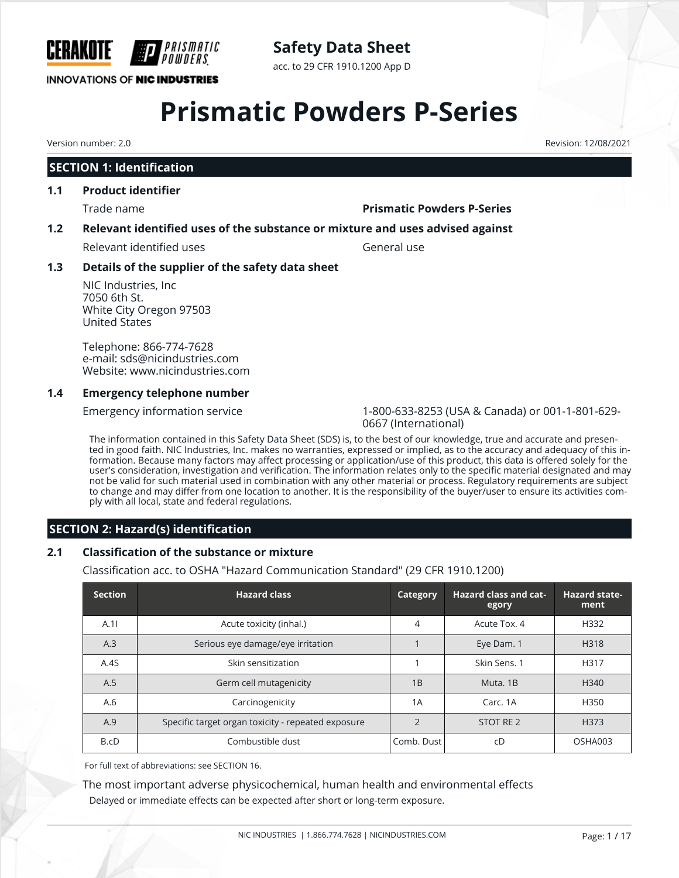

#### **INNOVATIONS OF NIC INDUSTRIES**

**Safety Data Sheet**

acc. to 29 CFR 1910.1200 App D

# **Prismatic Powders P-Series**

## **SECTION 1: Identification**

### **1.1 Product identifier**

#### Trade name **Prismatic Powders P-Series**

## **1.2 Relevant identified uses of the substance or mixture and uses advised against**

Relevant identified uses General use

## **1.3 Details of the supplier of the safety data sheet**

NIC Industries, Inc 7050 6th St. White City Oregon 97503 United States

Telephone: 866-774-7628 e-mail: sds@nicindustries.com Website: www.nicindustries.com

### **1.4 Emergency telephone number**

Emergency information service 1-800-633-8253 (USA & Canada) or 001-1-801-629- 0667 (International)

The information contained in this Safety Data Sheet (SDS) is, to the best of our knowledge, true and accurate and presented in good faith. NIC Industries, Inc. makes no warranties, expressed or implied, as to the accuracy and adequacy of this information. Because many factors may affect processing or application/use of this product, this data is offered solely for the user's consideration, investigation and verification. The information relates only to the specific material designated and may not be valid for such material used in combination with any other material or process. Regulatory requirements are subject to change and may differ from one location to another. It is the responsibility of the buyer/user to ensure its activities comply with all local, state and federal regulations.

## **SECTION 2: Hazard(s) identification**

## **2.1 Classification of the substance or mixture**

Classification acc. to OSHA "Hazard Communication Standard" (29 CFR 1910.1200)

| <b>Section</b> | <b>Hazard class</b>                                | Category       | <b>Hazard class and cat-</b><br>egory | <b>Hazard state-</b><br>ment |
|----------------|----------------------------------------------------|----------------|---------------------------------------|------------------------------|
| A.11           | Acute toxicity (inhal.)                            | 4              | Acute Tox, 4                          | H332                         |
| A.3            | Serious eye damage/eye irritation                  |                | Eye Dam. 1                            | H318                         |
| A.4S           | Skin sensitization                                 |                | Skin Sens. 1                          | H317                         |
| A.5            | Germ cell mutagenicity                             | 1B             | Muta, 1B                              | H340                         |
| A.6            | Carcinogenicity                                    | 1A             | Carc, 1A                              | H350                         |
| A.9            | Specific target organ toxicity - repeated exposure | $\mathfrak{D}$ | STOT RE 2                             | H373                         |
| B.cD           | Combustible dust                                   | Comb. Dust     | cD                                    | OSHA003                      |

For full text of abbreviations: see SECTION 16.

The most important adverse physicochemical, human health and environmental effects Delayed or immediate effects can be expected after short or long-term exposure.

Version number: 2.0 Revision: 12/08/2021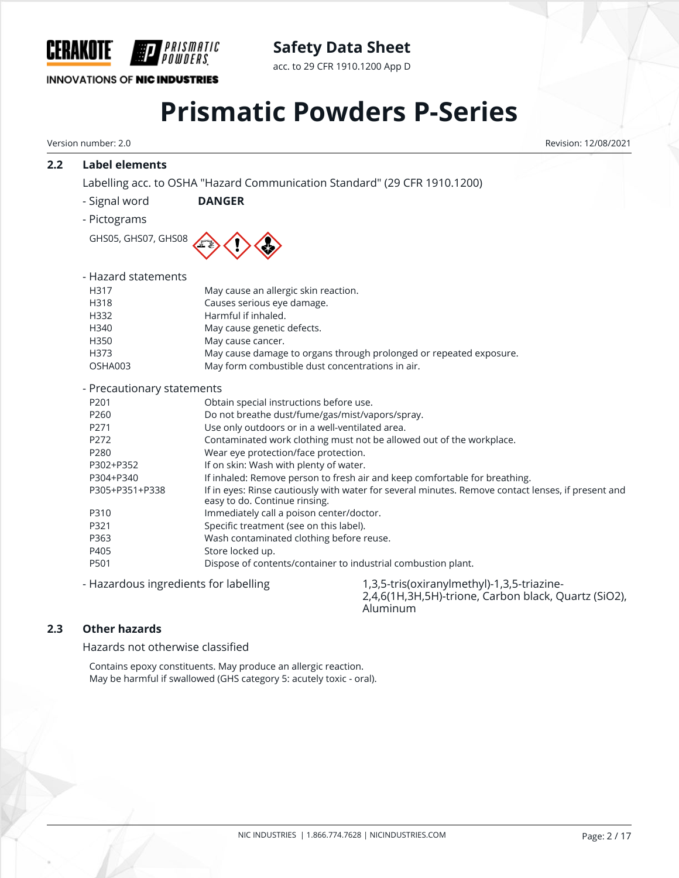

### **INNOVATIONS OF NIC INDUSTRIES**

**Safety Data Sheet**

acc. to 29 CFR 1910.1200 App D

# **Prismatic Powders P-Series**

Version number: 2.0 Revision: 12/08/2021

## **2.2 Label elements**

Labelling acc. to OSHA "Hazard Communication Standard" (29 CFR 1910.1200)

- Signal word **DANGER**
- Pictograms

GHS05, GHS07, GHS08



| - Hazard statements |                                                                    |
|---------------------|--------------------------------------------------------------------|
| H317                | May cause an allergic skin reaction.                               |
| H318                | Causes serious eye damage.                                         |
| H332                | Harmful if inhaled.                                                |
| H340                | May cause genetic defects.                                         |
| H350                | May cause cancer.                                                  |
| H373                | May cause damage to organs through prolonged or repeated exposure. |
| OSHA003             | May form combustible dust concentrations in air.                   |
|                     |                                                                    |

- Precautionary statements

| Precautionary statements |                                                                                                                                     |
|--------------------------|-------------------------------------------------------------------------------------------------------------------------------------|
| P201                     | Obtain special instructions before use.                                                                                             |
| P <sub>260</sub>         | Do not breathe dust/fume/gas/mist/vapors/spray.                                                                                     |
| P271                     | Use only outdoors or in a well-ventilated area.                                                                                     |
| P272                     | Contaminated work clothing must not be allowed out of the workplace.                                                                |
| P <sub>280</sub>         | Wear eye protection/face protection.                                                                                                |
| P302+P352                | If on skin: Wash with plenty of water.                                                                                              |
| P304+P340                | If inhaled: Remove person to fresh air and keep comfortable for breathing.                                                          |
| P305+P351+P338           | If in eyes: Rinse cautiously with water for several minutes. Remove contact lenses, if present and<br>easy to do. Continue rinsing. |
| P310                     | Immediately call a poison center/doctor.                                                                                            |
| P321                     | Specific treatment (see on this label).                                                                                             |
| P363                     | Wash contaminated clothing before reuse.                                                                                            |
| P405                     | Store locked up.                                                                                                                    |
| P501                     | Dispose of contents/container to industrial combustion plant.                                                                       |
|                          |                                                                                                                                     |

- Hazardous ingredients for labelling 1,3,5-tris(oxiranylmethyl)-1,3,5-triazine-2,4,6(1H,3H,5H)-trione, Carbon black, Quartz (SiO2), Aluminum

## **2.3 Other hazards**

Hazards not otherwise classified

Contains epoxy constituents. May produce an allergic reaction. May be harmful if swallowed (GHS category 5: acutely toxic - oral).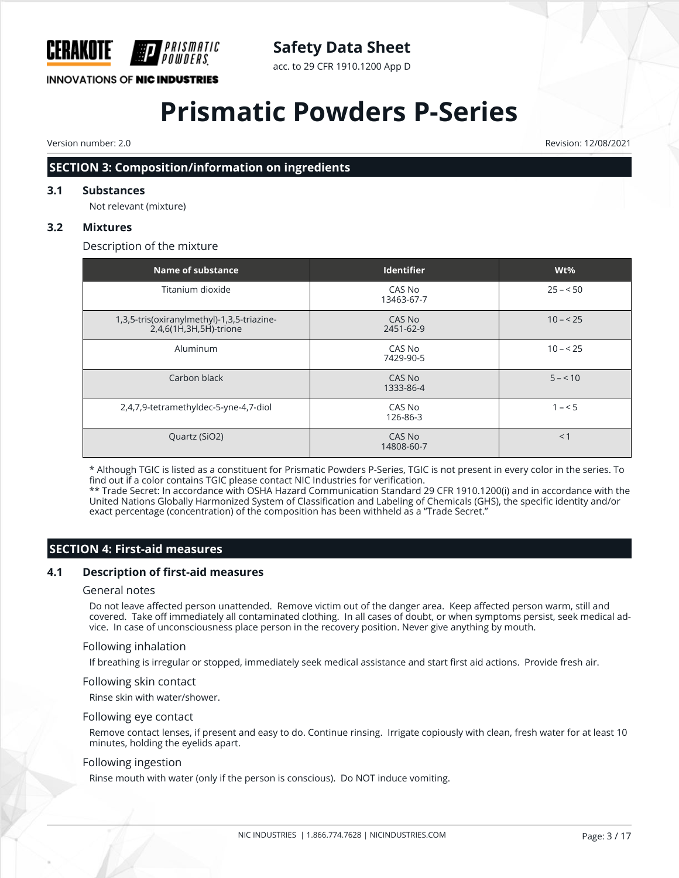

**INNOVATIONS OF NIC INDUSTRIES** 

## **Safety Data Sheet**

acc. to 29 CFR 1910.1200 App D

# **Prismatic Powders P-Series**

Version number: 2.0 Revision: 12/08/2021

## **SECTION 3: Composition/information on ingredients**

#### **3.1 Substances**

Not relevant (mixture)

#### **3.2 Mixtures**

Description of the mixture

| Name of substance                                                    | <b>Identifier</b>    | $Wt\%$    |
|----------------------------------------------------------------------|----------------------|-----------|
| Titanium dioxide                                                     | CAS No<br>13463-67-7 | $25 - 50$ |
| 1,3,5-tris(oxiranylmethyl)-1,3,5-triazine-<br>2,4,6(1H,3H,5H)-trione | CAS No<br>2451-62-9  | $10 - 25$ |
| Aluminum                                                             | CAS No<br>7429-90-5  | $10 - 25$ |
| Carbon black                                                         | CAS No<br>1333-86-4  | $5 - 10$  |
| 2,4,7,9-tetramethyldec-5-yne-4,7-diol                                | CAS No<br>126-86-3   | $1 - 5$   |
| Quartz (SiO2)                                                        | CAS No<br>14808-60-7 | < 1       |

\* Although TGIC is listed as a constituent for Prismatic Powders P-Series, TGIC is not present in every color in the series. To find out if a color contains TGIC please contact NIC Industries for verification.

\*\* Trade Secret: In accordance with OSHA Hazard Communication Standard 29 CFR 1910.1200(i) and in accordance with the United Nations Globally Harmonized System of Classification and Labeling of Chemicals (GHS), the specific identity and/or exact percentage (concentration) of the composition has been withheld as a "Trade Secret."

## **SECTION 4: First-aid measures**

#### **4.1 Description of first-aid measures**

#### General notes

Do not leave affected person unattended. Remove victim out of the danger area. Keep affected person warm, still and covered. Take off immediately all contaminated clothing. In all cases of doubt, or when symptoms persist, seek medical advice. In case of unconsciousness place person in the recovery position. Never give anything by mouth.

#### Following inhalation

If breathing is irregular or stopped, immediately seek medical assistance and start first aid actions. Provide fresh air.

#### Following skin contact

Rinse skin with water/shower.

#### Following eye contact

Remove contact lenses, if present and easy to do. Continue rinsing. Irrigate copiously with clean, fresh water for at least 10 minutes, holding the eyelids apart.

#### Following ingestion

Rinse mouth with water (only if the person is conscious). Do NOT induce vomiting.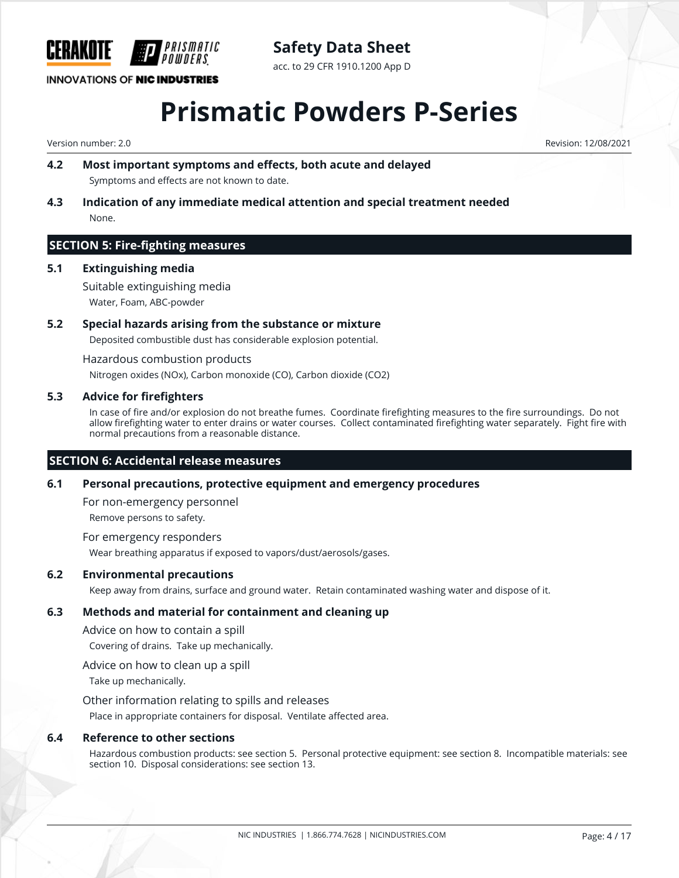

**INNOVATIONS OF NIC INDUSTRIES** 

acc. to 29 CFR 1910.1200 App D

## **Prismatic Powders P-Series**

Version number: 2.0 Revision: 12/08/2021

- **4.2 Most important symptoms and effects, both acute and delayed** Symptoms and effects are not known to date.
- **4.3 Indication of any immediate medical attention and special treatment needed** None.

### **SECTION 5: Fire-fighting measures**

#### **5.1 Extinguishing media**

Suitable extinguishing media Water, Foam, ABC-powder

#### **5.2 Special hazards arising from the substance or mixture**

Deposited combustible dust has considerable explosion potential.

Hazardous combustion products

Nitrogen oxides (NOx), Carbon monoxide (CO), Carbon dioxide (CO2)

#### **5.3 Advice for firefighters**

In case of fire and/or explosion do not breathe fumes. Coordinate firefighting measures to the fire surroundings. Do not allow firefighting water to enter drains or water courses. Collect contaminated firefighting water separately. Fight fire with normal precautions from a reasonable distance.

#### **SECTION 6: Accidental release measures**

#### **6.1 Personal precautions, protective equipment and emergency procedures**

For non-emergency personnel Remove persons to safety.

For emergency responders Wear breathing apparatus if exposed to vapors/dust/aerosols/gases.

#### **6.2 Environmental precautions**

Keep away from drains, surface and ground water. Retain contaminated washing water and dispose of it.

#### **6.3 Methods and material for containment and cleaning up**

Advice on how to contain a spill

Covering of drains. Take up mechanically.

Advice on how to clean up a spill

Take up mechanically.

Other information relating to spills and releases

Place in appropriate containers for disposal. Ventilate affected area.

#### **6.4 Reference to other sections**

Hazardous combustion products: see section 5. Personal protective equipment: see section 8. Incompatible materials: see section 10. Disposal considerations: see section 13.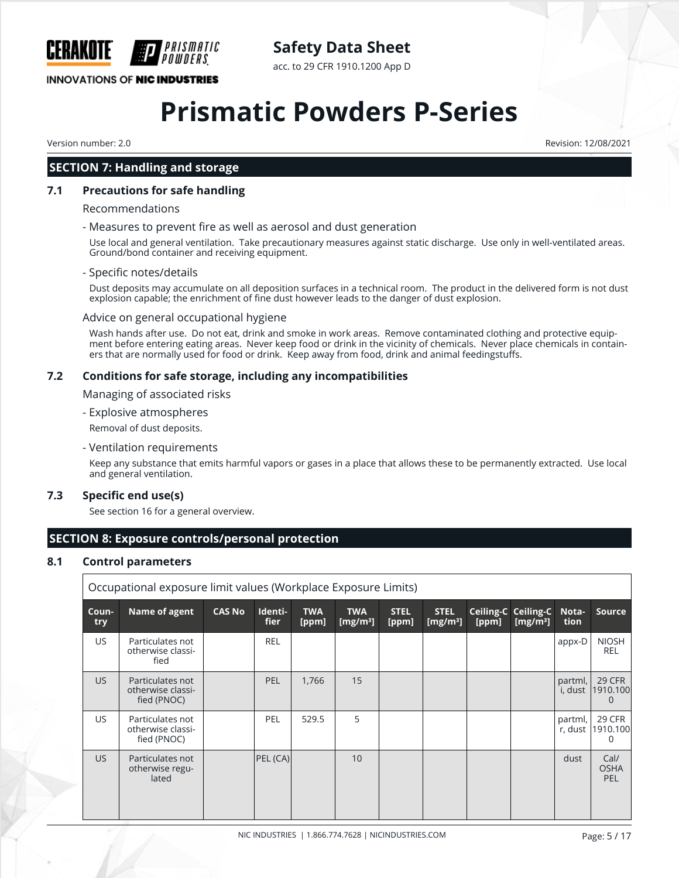

acc. to 29 CFR 1910.1200 App D

## **INNOVATIONS OF NIC INDUSTRIES**

## **Prismatic Powders P-Series**

Version number: 2.0 Revision: 12/08/2021

## **SECTION 7: Handling and storage**

## **7.1 Precautions for safe handling**

#### Recommendations

#### - Measures to prevent fire as well as aerosol and dust generation

Use local and general ventilation. Take precautionary measures against static discharge. Use only in well-ventilated areas. Ground/bond container and receiving equipment.

#### - Specific notes/details

Dust deposits may accumulate on all deposition surfaces in a technical room. The product in the delivered form is not dust explosion capable; the enrichment of fine dust however leads to the danger of dust explosion.

#### Advice on general occupational hygiene

Wash hands after use. Do not eat, drink and smoke in work areas. Remove contaminated clothing and protective equipment before entering eating areas. Never keep food or drink in the vicinity of chemicals. Never place chemicals in containers that are normally used for food or drink. Keep away from food, drink and animal feedingstuffs.

### **7.2 Conditions for safe storage, including any incompatibilities**

Managing of associated risks

- Explosive atmospheres

Removal of dust deposits.

- Ventilation requirements

Keep any substance that emits harmful vapors or gases in a place that allows these to be permanently extracted. Use local and general ventilation.

#### **7.3 Specific end use(s)**

See section 16 for a general overview.

## **SECTION 8: Exposure controls/personal protection**

#### **8.1 Control parameters**

|              | Occupational exposure limit values (Workplace Exposure Limits) |               |                        |                     |                           |                      |                            |       |                                    |                    |                                   |
|--------------|----------------------------------------------------------------|---------------|------------------------|---------------------|---------------------------|----------------------|----------------------------|-------|------------------------------------|--------------------|-----------------------------------|
| Coun-<br>try | Name of agent                                                  | <b>CAS No</b> | Identi-<br><b>fier</b> | <b>TWA</b><br>[ppm] | <b>TWA</b><br>[ $mg/m3$ ] | <b>STEL</b><br>[ppm] | <b>STEL</b><br>[ $mg/m3$ ] | [ppm] | Ceiling-C Ceiling-C<br>[ $mg/m3$ ] | Nota-<br>tion      | <b>Source</b>                     |
| US.          | Particulates not<br>otherwise classi-<br>fied                  |               | <b>REL</b>             |                     |                           |                      |                            |       |                                    | appx-D             | <b>NIOSH</b><br><b>REL</b>        |
| US.          | Particulates not<br>otherwise classi-<br>fied (PNOC)           |               | <b>PEL</b>             | 1,766               | 15                        |                      |                            |       |                                    | partml,<br>i, dust | 29 CFR<br>1910.100<br>$\Omega$    |
| US.          | Particulates not<br>otherwise classi-<br>fied (PNOC)           |               | <b>PEL</b>             | 529.5               | 5                         |                      |                            |       |                                    | partml,<br>r, dust | 29 CFR<br>1910.100<br>0           |
| <b>US</b>    | Particulates not<br>otherwise regu-<br>lated                   |               | PEL (CA)               |                     | 10                        |                      |                            |       |                                    | dust               | Cal/<br><b>OSHA</b><br><b>PEL</b> |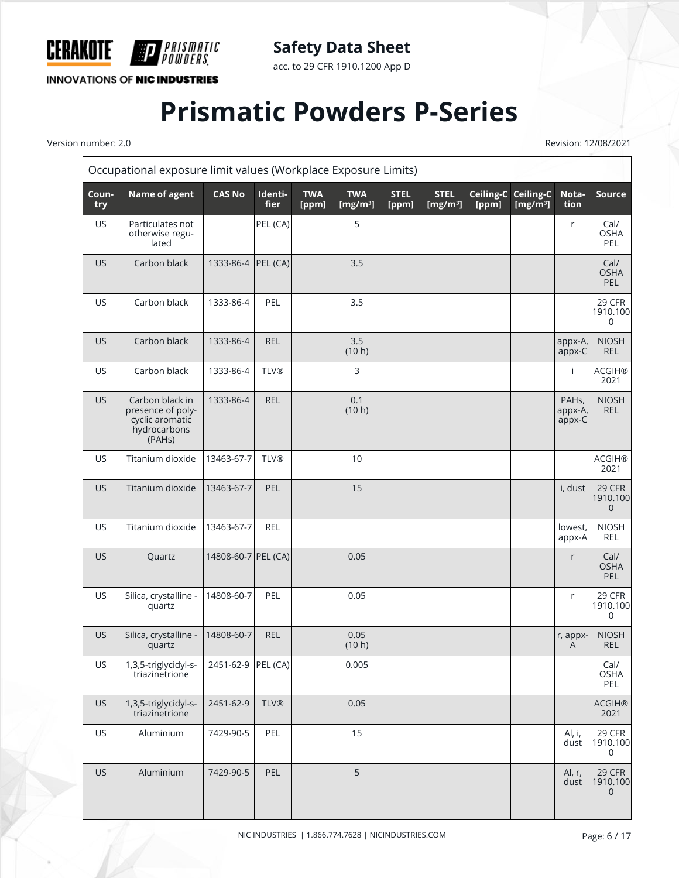

acc. to 29 CFR 1910.1200 App D

**INNOVATIONS OF NIC INDUSTRIES** 

F

*PRISMATIC<br>Powders*.

# **Prismatic Powders P-Series**

Version number: 2.0 Revision: 12/08/2021

|              | Occupational exposure limit values (Workplace Exposure Limits)                                 |                     |                        |                     |                           |                      |                            |                    |                           |                                         |                                      |
|--------------|------------------------------------------------------------------------------------------------|---------------------|------------------------|---------------------|---------------------------|----------------------|----------------------------|--------------------|---------------------------|-----------------------------------------|--------------------------------------|
| Coun-<br>try | Name of agent                                                                                  | <b>CAS No</b>       | Identi-<br><b>fier</b> | <b>TWA</b><br>[ppm] | <b>TWA</b><br>[ $mg/m3$ ] | <b>STEL</b><br>[ppm] | <b>STEL</b><br>[ $mg/m3$ ] | Ceiling-C<br>[ppm] | Ceiling-C<br>[ $mg/m^3$ ] | Nota-<br>tion                           | <b>Source</b>                        |
| <b>US</b>    | Particulates not<br>otherwise regu-<br>lated                                                   |                     | PEL (CA)               |                     | 5                         |                      |                            |                    |                           | r                                       | Cal/<br><b>OSHA</b><br>PEL           |
| US           | Carbon black                                                                                   | 1333-86-4 PEL (CA)  |                        |                     | 3.5                       |                      |                            |                    |                           |                                         | Cal/<br><b>OSHA</b><br>PEL           |
| US           | Carbon black                                                                                   | 1333-86-4           | PEL                    |                     | 3.5                       |                      |                            |                    |                           |                                         | 29 CFR<br>1910.100<br>$\mathbf 0$    |
| <b>US</b>    | Carbon black                                                                                   | 1333-86-4           | <b>REL</b>             |                     | 3.5<br>(10 h)             |                      |                            |                    |                           | appx-A,<br>appx-C                       | <b>NIOSH</b><br><b>REL</b>           |
| US           | Carbon black                                                                                   | 1333-86-4           | <b>TLV®</b>            |                     | 3                         |                      |                            |                    |                           | Ť                                       | <b>ACGIH®</b><br>2021                |
| <b>US</b>    | Carbon black in<br>presence of poly-<br>cyclic aromatic<br>hydrocarbons<br>(PAH <sub>s</sub> ) | 1333-86-4           | <b>REL</b>             |                     | 0.1<br>(10 h)             |                      |                            |                    |                           | PAH <sub>s</sub> ,<br>appx-A,<br>appx-C | <b>NIOSH</b><br><b>REL</b>           |
| US           | Titanium dioxide                                                                               | 13463-67-7          | <b>TLV®</b>            |                     | 10                        |                      |                            |                    |                           |                                         | <b>ACGIH®</b><br>2021                |
| <b>US</b>    | Titanium dioxide                                                                               | 13463-67-7          | PEL                    |                     | 15                        |                      |                            |                    |                           | i, dust                                 | 29 CFR<br>1910.100<br>$\overline{0}$ |
| US           | Titanium dioxide                                                                               | 13463-67-7          | <b>REL</b>             |                     |                           |                      |                            |                    |                           | lowest,<br>appx-A                       | <b>NIOSH</b><br>REL                  |
| <b>US</b>    | Quartz                                                                                         | 14808-60-7 PEL (CA) |                        |                     | 0.05                      |                      |                            |                    |                           | r                                       | Cal/<br><b>OSHA</b><br>PEL           |
| <b>US</b>    | Silica, crystalline -<br>quartz                                                                | 14808-60-7          | PEL                    |                     | 0.05                      |                      |                            |                    |                           | r                                       | 29 CFR<br>1910.100<br>$\Omega$       |
| <b>US</b>    | Silica, crystalline -<br>quartz                                                                | 14808-60-7          | <b>REL</b>             |                     | 0.05<br>(10 h)            |                      |                            |                    |                           | r, appx-<br>A                           | <b>NIOSH</b><br><b>REL</b>           |
| US           | 1,3,5-triglycidyl-s-<br>triazinetrione                                                         | 2451-62-9 PEL (CA)  |                        |                     | 0.005                     |                      |                            |                    |                           |                                         | Cal/<br><b>OSHA</b><br>PEL           |
| <b>US</b>    | 1,3,5-triglycidyl-s-<br>triazinetrione                                                         | 2451-62-9           | <b>TLV®</b>            |                     | 0.05                      |                      |                            |                    |                           |                                         | <b>ACGIH®</b><br>2021                |
| US           | Aluminium                                                                                      | 7429-90-5           | PEL                    |                     | 15                        |                      |                            |                    |                           | Al, i,<br>dust                          | 29 CFR<br>1910.100<br>0              |
| <b>US</b>    | Aluminium                                                                                      | 7429-90-5           | PEL                    |                     | 5                         |                      |                            |                    |                           | Al, r,<br>dust                          | 29 CFR<br>1910.100<br>$\mathbf 0$    |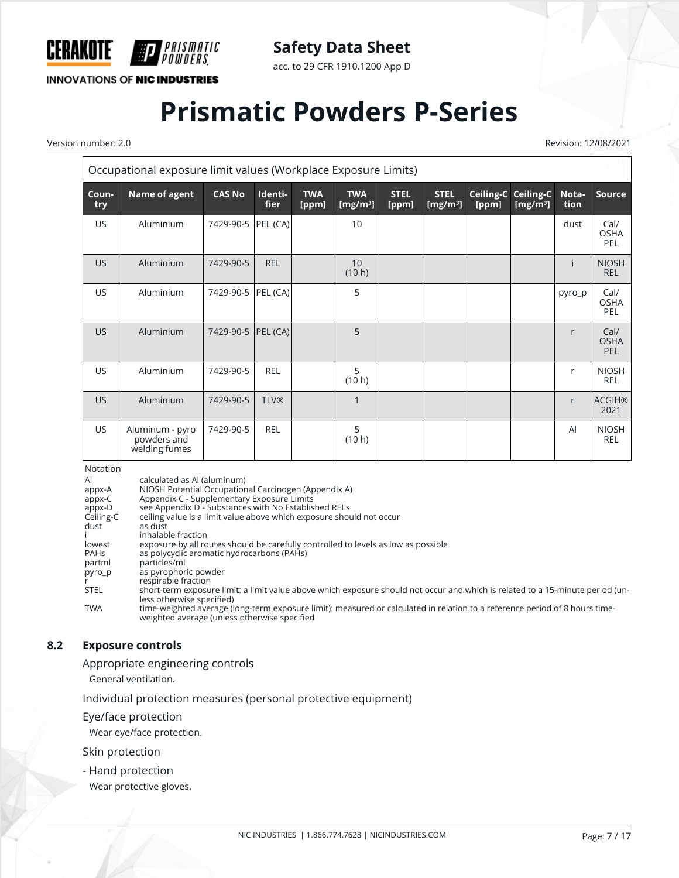

acc. to 29 CFR 1910.1200 App D

**INNOVATIONS OF NIC INDUSTRIES** 

*PRISMATIC<br>Powders* 

# **Prismatic Powders P-Series**

Version number: 2.0 Revision: 12/08/2021

| Occupational exposure limit values (Workplace Exposure Limits) |                                                 |                     |                        |                     |                           |                      |                            |       |                                                    |                |                                   |
|----------------------------------------------------------------|-------------------------------------------------|---------------------|------------------------|---------------------|---------------------------|----------------------|----------------------------|-------|----------------------------------------------------|----------------|-----------------------------------|
| Coun-<br>try                                                   | Name of agent                                   | <b>CAS No</b>       | Identi-<br><b>fier</b> | <b>TWA</b><br>[ppm] | <b>TWA</b><br>[ $mg/m3$ ] | <b>STEL</b><br>[ppm] | <b>STEL</b><br>[ $mg/m3$ ] | [ppm] | Ceiling-C Ceiling-C<br>$\frac{[mg/m^3]}{[mg/m^3]}$ | Nota-<br>tion  | <b>Source</b>                     |
| <b>US</b>                                                      | Aluminium                                       | 7429-90-5           | PEL (CA)               |                     | 10                        |                      |                            |       |                                                    | dust           | Cal/<br><b>OSHA</b><br><b>PEL</b> |
| US.                                                            | Aluminium                                       | 7429-90-5           | <b>REL</b>             |                     | 10<br>(10 h)              |                      |                            |       |                                                    |                | <b>NIOSH</b><br><b>REL</b>        |
| US.                                                            | Aluminium                                       | 7429-90-5 PEL (CA)  |                        |                     | 5                         |                      |                            |       |                                                    | pyro_p         | Cal/<br><b>OSHA</b><br><b>PEL</b> |
| US                                                             | Aluminium                                       | 7429-90-5  PEL (CA) |                        |                     | 5                         |                      |                            |       |                                                    | r              | Cal/<br><b>OSHA</b><br>PEL        |
| US.                                                            | Aluminium                                       | 7429-90-5           | <b>REL</b>             |                     | 5<br>(10 h)               |                      |                            |       |                                                    | r              | <b>NIOSH</b><br><b>REL</b>        |
| US.                                                            | Aluminium                                       | 7429-90-5           | <b>TLV®</b>            |                     | 1                         |                      |                            |       |                                                    | r              | <b>ACGIH®</b><br>2021             |
| US.                                                            | Aluminum - pyro<br>powders and<br>welding fumes | 7429-90-5           | <b>REL</b>             |                     | 5<br>(10 h)               |                      |                            |       |                                                    | $\overline{A}$ | <b>NIOSH</b><br><b>REL</b>        |

Notation

Al calculated as Al (aluminum)<br>appx-A NIOSH Potential Occupation A<br>
appx-A NIOSH Potential Occupational Carcinogen (Appendix A)<br>
appx-C Appendix C - Supplementary Exposure Limits

appx-C Appendix C - Supplementary Exposure Limits

appx-D see Appendix D - Substances with No Established RELs

Ceiling-C ceiling value is a limit value above which exposure should not occur

dust as dust

i inhalable fraction<br>lowest exposure by all ro lowest exposure by all routes should be carefully controlled to levels as low as possible<br>
PAHs as polycyclic aromatic hydrocarbons (PAHs)

- PAHs as polycyclic aromatic hydrocarbons (PAHs)<br>partml particles/ml
	- particles/ml

pyro\_p as pyrophoric powder

r<br>
FIL respirable fraction<br>
STEL short-term exposui

short-term exposure limit: a limit value above which exposure should not occur and which is related to a 15-minute period (unless otherwise specified)

TWA time-weighted average (long-term exposure limit): measured or calculated in relation to a reference period of 8 hours timeweighted average (unless otherwise specified

#### **8.2 Exposure controls**

Appropriate engineering controls

General ventilation.

Individual protection measures (personal protective equipment)

Eye/face protection

Wear eye/face protection.

Skin protection

- Hand protection

Wear protective gloves.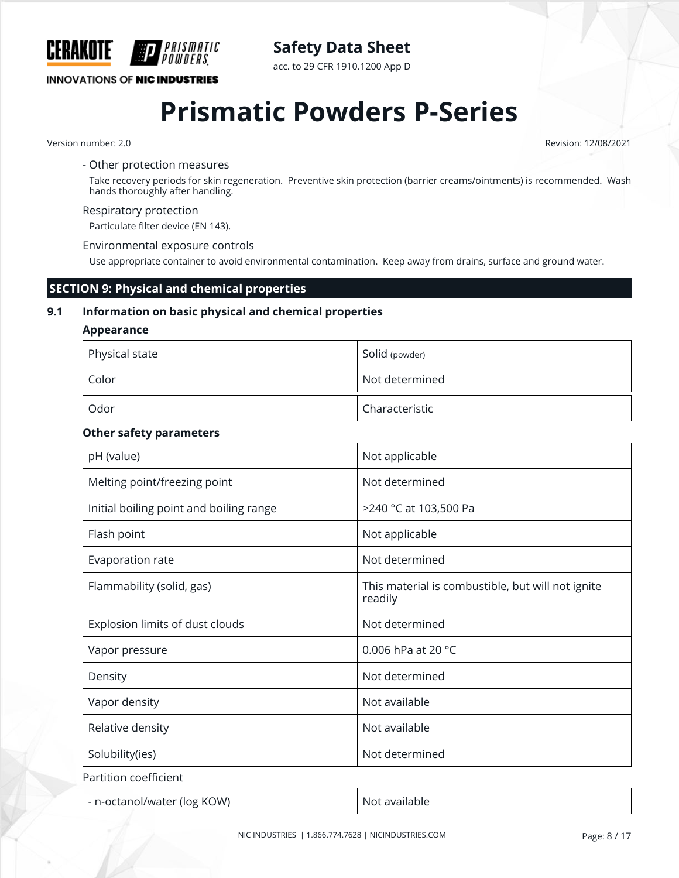

**INNOVATIONS OF NIC INDUSTRIES** 

PRISMATIC

acc. to 29 CFR 1910.1200 App D

# **Prismatic Powders P-Series**

#### Version number: 2.0 Revision: 12/08/2021

#### - Other protection measures

Take recovery periods for skin regeneration. Preventive skin protection (barrier creams/ointments) is recommended. Wash hands thoroughly after handling.

#### Respiratory protection

Particulate filter device (EN 143).

#### Environmental exposure controls

Use appropriate container to avoid environmental contamination. Keep away from drains, surface and ground water.

## **SECTION 9: Physical and chemical properties**

## **9.1 Information on basic physical and chemical properties**

#### **Appearance**

| Physical state | Solid (powder) |
|----------------|----------------|
| Color          | Not determined |
| Odor           | Characteristic |

#### **Other safety parameters**

| pH (value)                              | Not applicable                                               |
|-----------------------------------------|--------------------------------------------------------------|
| Melting point/freezing point            | Not determined                                               |
| Initial boiling point and boiling range | >240 °C at 103,500 Pa                                        |
| Flash point                             | Not applicable                                               |
| Evaporation rate                        | Not determined                                               |
| Flammability (solid, gas)               | This material is combustible, but will not ignite<br>readily |
| Explosion limits of dust clouds         | Not determined                                               |
| Vapor pressure                          | 0.006 hPa at 20 $^{\circ}$ C                                 |
| Density                                 | Not determined                                               |
| Vapor density                           | Not available                                                |
| Relative density                        | Not available                                                |
| Solubility(ies)                         | Not determined                                               |
| Partition coefficient                   |                                                              |
| - n-octanol/water (log KOW)             | Not available                                                |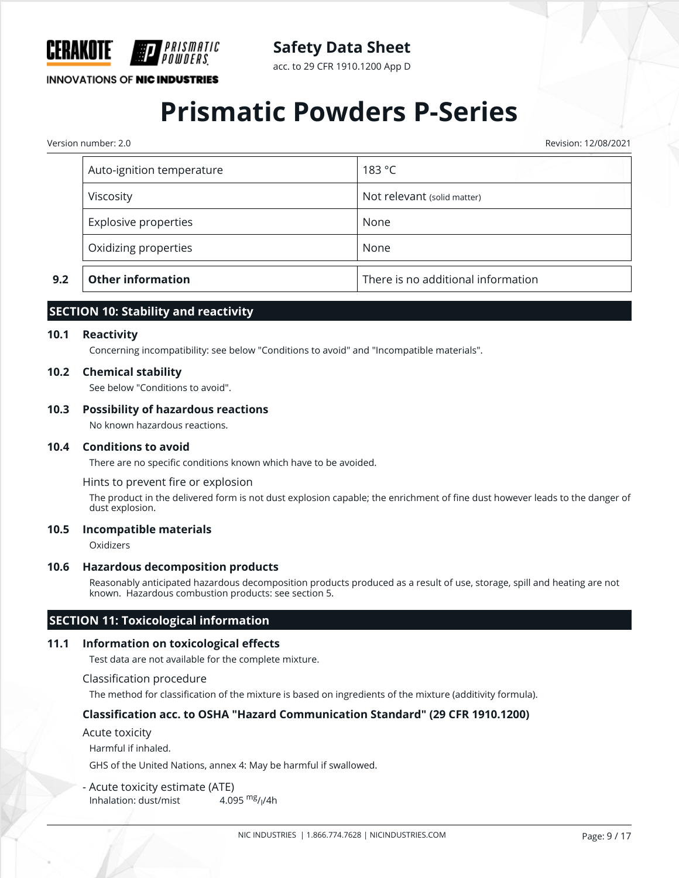

acc. to 29 CFR 1910.1200 App D

**INNOVATIONS OF NIC INDUSTRIES** 

## **Prismatic Powders P-Series**

Version number: 2.0 Revision: 12/08/2021

| 9.2 | <b>Other information</b>  | There is no additional information |
|-----|---------------------------|------------------------------------|
|     | Oxidizing properties      | None                               |
|     | Explosive properties      | None                               |
|     | Viscosity                 | Not relevant (solid matter)        |
|     | Auto-ignition temperature | 183 °C                             |
|     |                           |                                    |

## **SECTION 10: Stability and reactivity**

#### **10.1 Reactivity**

Concerning incompatibility: see below "Conditions to avoid" and "Incompatible materials".

#### **10.2 Chemical stability**

See below "Conditions to avoid".

#### **10.3 Possibility of hazardous reactions**

No known hazardous reactions.

#### **10.4 Conditions to avoid**

There are no specific conditions known which have to be avoided.

Hints to prevent fire or explosion

The product in the delivered form is not dust explosion capable; the enrichment of fine dust however leads to the danger of dust explosion.

#### **10.5 Incompatible materials**

Oxidizers

#### **10.6 Hazardous decomposition products**

Reasonably anticipated hazardous decomposition products produced as a result of use, storage, spill and heating are not known. Hazardous combustion products: see section 5.

## **SECTION 11: Toxicological information**

#### **11.1 Information on toxicological effects**

Test data are not available for the complete mixture.

#### Classification procedure

The method for classification of the mixture is based on ingredients of the mixture (additivity formula).

#### **Classification acc. to OSHA "Hazard Communication Standard" (29 CFR 1910.1200)**

Acute toxicity

Harmful if inhaled.

GHS of the United Nations, annex 4: May be harmful if swallowed.

- Acute toxicity estimate (ATE) Inhalation: dust/mist 4.095  $mg/1/4h$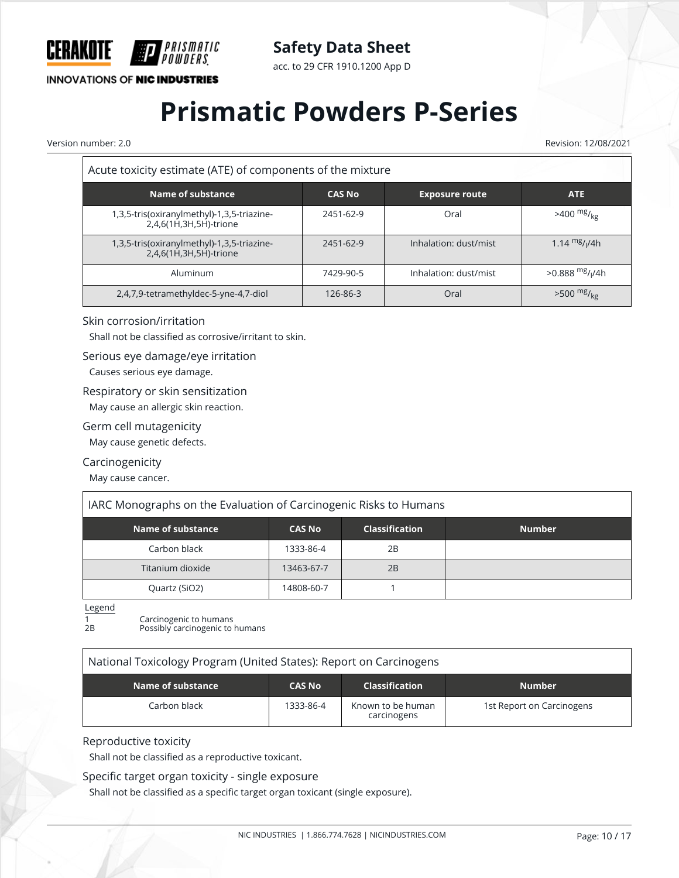

**INNOVATIONS OF NIC INDUSTRIES** 

acc. to 29 CFR 1910.1200 App D

# **Prismatic Powders P-Series**

Version number: 2.0 Revision: 12/08/2021  $\overline{\mathsf{r}}$ 

| Acute toxicity estimate (ATE) of components of the mixture           |               |                       |                                           |
|----------------------------------------------------------------------|---------------|-----------------------|-------------------------------------------|
| Name of substance                                                    | <b>CAS No</b> | <b>Exposure route</b> | <b>ATE</b>                                |
| 1,3,5-tris(oxiranylmethyl)-1,3,5-triazine-<br>2,4,6(1H,3H,5H)-trione | 2451-62-9     | Oral                  | $>400$ mg/ <sub>kg</sub>                  |
| 1,3,5-tris(oxiranylmethyl)-1,3,5-triazine-<br>2,4,6(1H,3H,5H)-trione | 2451-62-9     | Inhalation: dust/mist | 1.14 $mg/1/4h$                            |
| Aluminum                                                             | 7429-90-5     | Inhalation: dust/mist | $>0.888$ <sup>mg</sup> / <sub>l</sub> /4h |
| 2,4,7,9-tetramethyldec-5-yne-4,7-diol                                | 126-86-3      | Oral                  | $>500$ mg/ <sub>kg</sub>                  |

#### Skin corrosion/irritation

Shall not be classified as corrosive/irritant to skin.

#### Serious eye damage/eye irritation

Causes serious eye damage.

#### Respiratory or skin sensitization

May cause an allergic skin reaction.

#### Germ cell mutagenicity

May cause genetic defects.

#### Carcinogenicity

May cause cancer.

## IARC Monographs on the Evaluation of Carcinogenic Risks to Humans

| Name of substance | <b>CAS No</b> | <b>Classification</b> | <b>Number</b> |
|-------------------|---------------|-----------------------|---------------|
| Carbon black      | 1333-86-4     | 2B                    |               |
| Titanium dioxide  | 13463-67-7    | 2B                    |               |
| Quartz (SiO2)     | 14808-60-7    |                       |               |

Legend

1 **Carcinogenic to humans**<br>2B **Possibly carcinogenic to** 

Possibly carcinogenic to humans

## National Toxicology Program (United States): Report on Carcinogens

| Name of substance | <b>CAS No</b> | <b>Classification</b>            | <b>Number</b>             |
|-------------------|---------------|----------------------------------|---------------------------|
| Carbon black      | 1333-86-4     | Known to be human<br>carcinogens | 1st Report on Carcinogens |

#### Reproductive toxicity

Shall not be classified as a reproductive toxicant.

### Specific target organ toxicity - single exposure

Shall not be classified as a specific target organ toxicant (single exposure).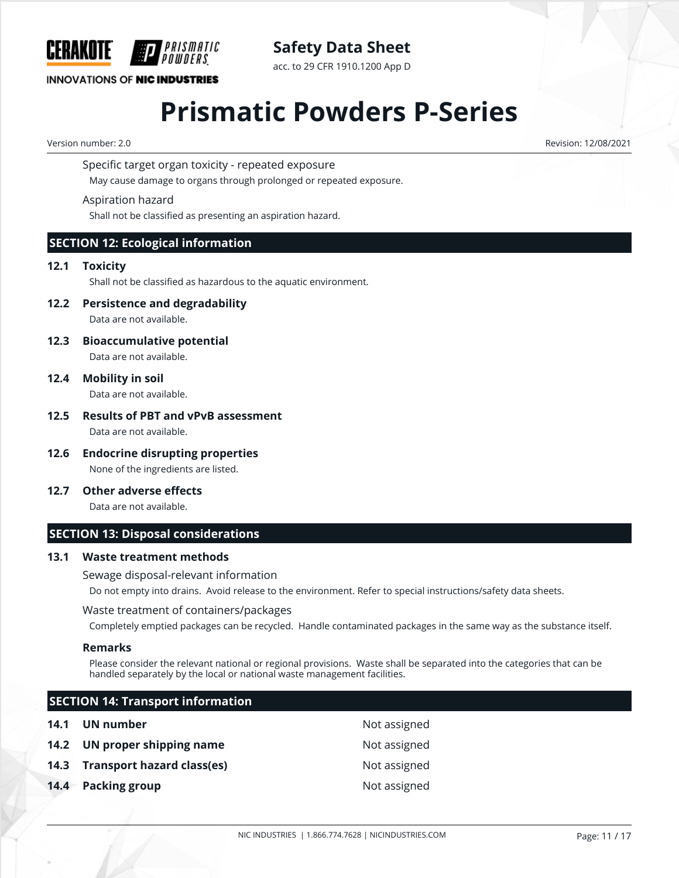

acc. to 29 CFR 1910.1200 App D

## **INNOVATIONS OF NIC INDUSTRIES**

## **Prismatic Powders P-Series**

Version number: 2.0 Revision: 12/08/2021

Specific target organ toxicity - repeated exposure

May cause damage to organs through prolonged or repeated exposure.

### Aspiration hazard

Shall not be classified as presenting an aspiration hazard.

## **SECTION 12: Ecological information**

### **12.1 Toxicity**

Shall not be classified as hazardous to the aquatic environment.

**12.2 Persistence and degradability**

Data are not available.

**12.3 Bioaccumulative potential**

Data are not available.

**12.4 Mobility in soil**

Data are not available.

#### **12.5 Results of PBT and vPvB assessment** Data are not available.

- **12.6 Endocrine disrupting properties** None of the ingredients are listed.
- **12.7 Other adverse effects**

Data are not available.

## **SECTION 13: Disposal considerations**

#### **13.1 Waste treatment methods**

Sewage disposal-relevant information

Do not empty into drains. Avoid release to the environment. Refer to special instructions/safety data sheets.

#### Waste treatment of containers/packages

Completely emptied packages can be recycled. Handle contaminated packages in the same way as the substance itself.

#### **Remarks**

Please consider the relevant national or regional provisions. Waste shall be separated into the categories that can be handled separately by the local or national waste management facilities.

## **SECTION 14: Transport information 14.1 UN number** Not assigned **14.2 UN proper shipping name** Not assigned **14.3 Transport hazard class(es)** Not assigned **14.4 Packing group 14.4 Packing group**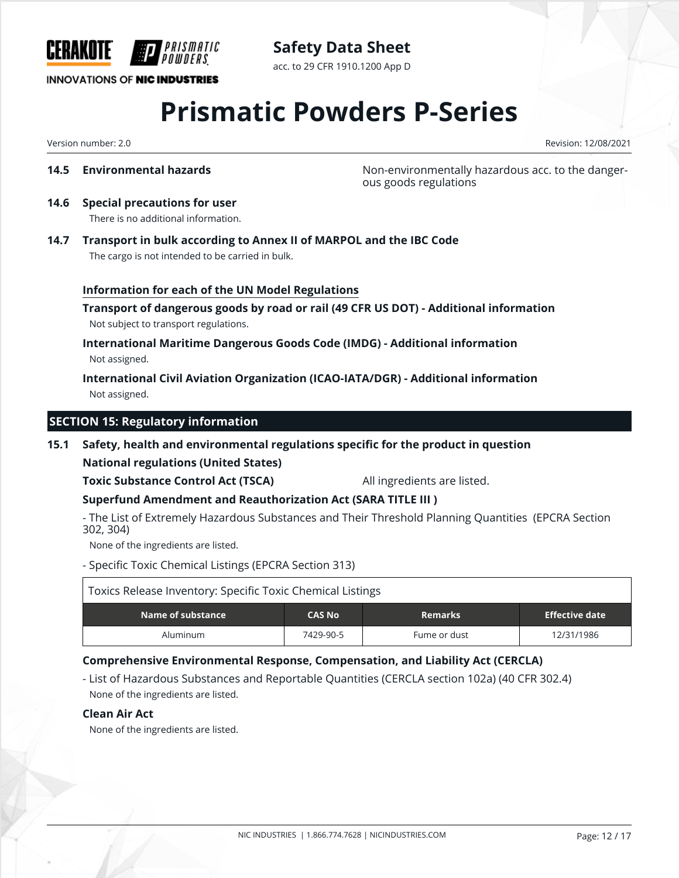

**Safety Data Sheet** acc. to 29 CFR 1910.1200 App D

## **INNOVATIONS OF NIC INDUSTRIES**

# **Prismatic Powders P-Series**

Version number: 2.0 Revision: 12/08/2021

**14.5 Environmental hazards Non-environmentally hazardous acc. to the danger**ous goods regulations

## **14.6 Special precautions for user**

There is no additional information.

**14.7 Transport in bulk according to Annex II of MARPOL and the IBC Code** The cargo is not intended to be carried in bulk.

### **Information for each of the UN Model Regulations**

**Transport of dangerous goods by road or rail (49 CFR US DOT) - Additional information** Not subject to transport regulations.

## **International Maritime Dangerous Goods Code (IMDG) - Additional information** Not assigned.

**International Civil Aviation Organization (ICAO-IATA/DGR) - Additional information** Not assigned.

## **SECTION 15: Regulatory information**

## **15.1 Safety, health and environmental regulations specific for the product in question**

**National regulations (United States)**

## **Toxic Substance Control Act (TSCA)** All ingredients are listed.

**Superfund Amendment and Reauthorization Act (SARA TITLE III )**

- The List of Extremely Hazardous Substances and Their Threshold Planning Quantities (EPCRA Section 302, 304)

None of the ingredients are listed.

- Specific Toxic Chemical Listings (EPCRA Section 313)

| Toxics Release Inventory: Specific Toxic Chemical Listings |               |                |                       |
|------------------------------------------------------------|---------------|----------------|-----------------------|
| Name of substance                                          | <b>CAS No</b> | <b>Remarks</b> | <b>Effective date</b> |
| Aluminum                                                   | 7429-90-5     | Fume or dust   | 12/31/1986            |

## **Comprehensive Environmental Response, Compensation, and Liability Act (CERCLA)**

- List of Hazardous Substances and Reportable Quantities (CERCLA section 102a) (40 CFR 302.4) None of the ingredients are listed.

#### **Clean Air Act**

None of the ingredients are listed.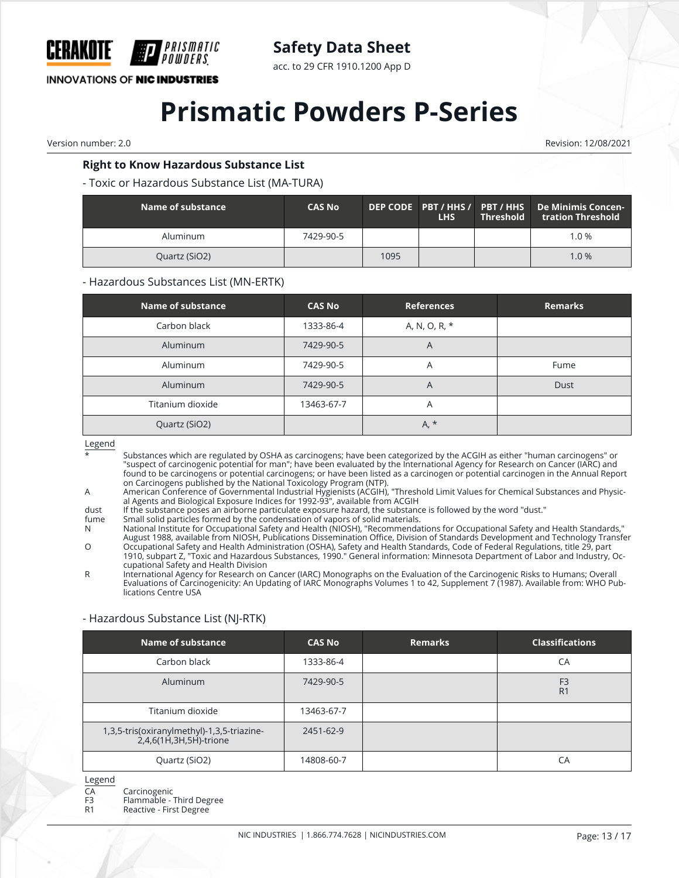

acc. to 29 CFR 1910.1200 App D

**INNOVATIONS OF NIC INDUSTRIES** 

## **Prismatic Powders P-Series**

Version number: 2.0 Revision: 12/08/2021

### **Right to Know Hazardous Substance List**

#### - Toxic or Hazardous Substance List (MA-TURA)

| Name of substance | <b>CAS No</b> |      | <b>LHS</b> | <b>Threshold</b> | DEP CODE PBT / HHS / PBT / HHS De Minimis Concen-<br>tration Threshold |
|-------------------|---------------|------|------------|------------------|------------------------------------------------------------------------|
| Aluminum          | 7429-90-5     |      |            |                  | 1.0%                                                                   |
| Quartz (SiO2)     |               | 1095 |            |                  | 1.0%                                                                   |

#### - Hazardous Substances List (MN-ERTK)

| <b>Name of substance</b> | <b>CAS No</b> | <b>References</b> | <b>Remarks</b> |
|--------------------------|---------------|-------------------|----------------|
| Carbon black             | 1333-86-4     | A, N, O, R, *     |                |
| Aluminum                 | 7429-90-5     | A                 |                |
| Aluminum                 | 7429-90-5     | Α                 | Fume           |
| Aluminum                 | 7429-90-5     | A                 | Dust           |
| Titanium dioxide         | 13463-67-7    | A                 |                |
| Quartz (SiO2)            |               | $A, *$            |                |

Legend

- Substances which are regulated by OSHA as carcinogens; have been categorized by the ACGIH as either "human carcinogens" or "suspect of carcinogenic potential for man"; have been evaluated by the International Agency for Research on Cancer (IARC) and found to be carcinogens or potential carcinogens; or have been listed as a carcinogen or potential carcinogen in the Annual Report on Carcinogens published by the National Toxicology Program (NTP).
- A American Conference of Governmental Industrial Hygienists (ACGIH), "Threshold Limit Values for Chemical Substances and Physical Agents and Biological Exposure Indices for 1992-93", available from ACGIH
- dust If the substance poses an airborne particulate exposure hazard, the substance is followed by the word "dust."<br>fume Small solid particles formed by the condensation of vapors of solid materials
- fume Small solid particles formed by the condensation of vapors of solid materials.

N National Institute for Occupational Safety and Health (NIOSH), "Recommendations for Occupational Safety and Health Standards," August 1988, available from NIOSH, Publications Dissemination Office, Division of Standards Development and Technology Transfer

O Occupational Safety and Health Administration (OSHA), Safety and Health Standards, Code of Federal Regulations, title 29, part 1910, subpart Z, "Toxic and Hazardous Substances, 1990." General information: Minnesota Department of Labor and Industry, Occupational Safety and Health Division

R International Agency for Research on Cancer (IARC) Monographs on the Evaluation of the Carcinogenic Risks to Humans; Overall Evaluations of Carcinogenicity: An Updating of IARC Monographs Volumes 1 to 42, Supplement 7 (1987). Available from: WHO Publications Centre USA

## - Hazardous Substance List (NJ-RTK)

| Name of substance                                                    | <b>CAS No</b> | <b>Remarks</b> | <b>Classifications</b>           |
|----------------------------------------------------------------------|---------------|----------------|----------------------------------|
| Carbon black                                                         | 1333-86-4     |                | CA                               |
| Aluminum                                                             | 7429-90-5     |                | F <sub>3</sub><br>R <sub>1</sub> |
| Titanium dioxide                                                     | 13463-67-7    |                |                                  |
| 1,3,5-tris(oxiranylmethyl)-1,3,5-triazine-<br>2,4,6(1H,3H,5H)-trione | 2451-62-9     |                |                                  |
| Quartz (SiO2)                                                        | 14808-60-7    |                | СA                               |

Legend

- CA Carcinogenic
- F3 Flammable Third Degree<br>R1 Reactive First Degree
- Reactive First Degree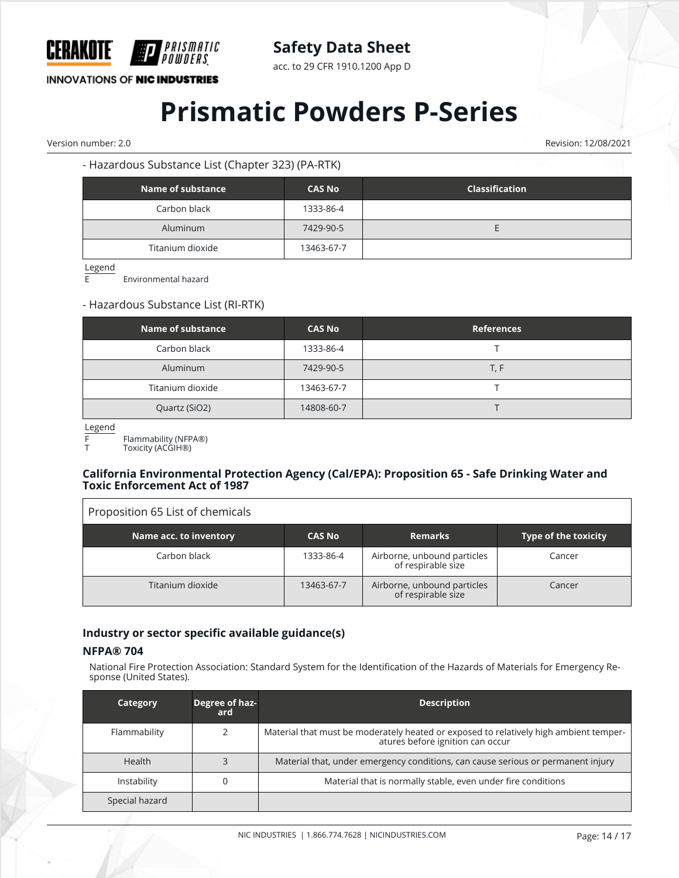

acc. to 29 CFR 1910.1200 App D

**INNOVATIONS OF NIC INDUSTRIES** 

## **Prismatic Powders P-Series**

Version number: 2.0 Revision: 12/08/2021

## - Hazardous Substance List (Chapter 323) (PA-RTK)

| Name of substance | <b>CAS No</b> | <b>Classification</b> |
|-------------------|---------------|-----------------------|
| Carbon black      | 1333-86-4     |                       |
| Aluminum          | 7429-90-5     |                       |
| Titanium dioxide  | 13463-67-7    |                       |

 $\frac{\text{Legend}}{\text{F}}$ 

E Environmental hazard

### - Hazardous Substance List (RI-RTK)

| Name of substance | <b>CAS No</b> | <b>References</b> |
|-------------------|---------------|-------------------|
| Carbon black      | 1333-86-4     |                   |
| Aluminum          | 7429-90-5     | T, F              |
| Titanium dioxide  | 13463-67-7    |                   |
| Quartz (SiO2)     | 14808-60-7    |                   |

Legend

 $\Gamma$ 

F Flammability (NFPA®)

Toxicity (ACGIH<sup>®</sup>)

#### **California Environmental Protection Agency (Cal/EPA): Proposition 65 - Safe Drinking Water and Toxic Enforcement Act of 1987**

| Proposition 65 List of chemicals |               |                                                   |                             |
|----------------------------------|---------------|---------------------------------------------------|-----------------------------|
| Name acc. to inventory           | <b>CAS No</b> | <b>Remarks</b>                                    | <b>Type of the toxicity</b> |
| Carbon black                     | 1333-86-4     | Airborne, unbound particles<br>of respirable size | Cancer                      |
| Titanium dioxide                 | 13463-67-7    | Airborne, unbound particles<br>of respirable size | Cancer                      |

## **Industry or sector specific available guidance(s)**

#### **NFPA® 704**

National Fire Protection Association: Standard System for the Identification of the Hazards of Materials for Emergency Response (United States).

| Category       | Degree of haz-<br>ard | <b>Description</b>                                                                                                        |
|----------------|-----------------------|---------------------------------------------------------------------------------------------------------------------------|
| Flammability   |                       | Material that must be moderately heated or exposed to relatively high ambient temper-<br>atures before ignition can occur |
| <b>Health</b>  |                       | Material that, under emergency conditions, can cause serious or permanent injury                                          |
| Instability    |                       | Material that is normally stable, even under fire conditions                                                              |
| Special hazard |                       |                                                                                                                           |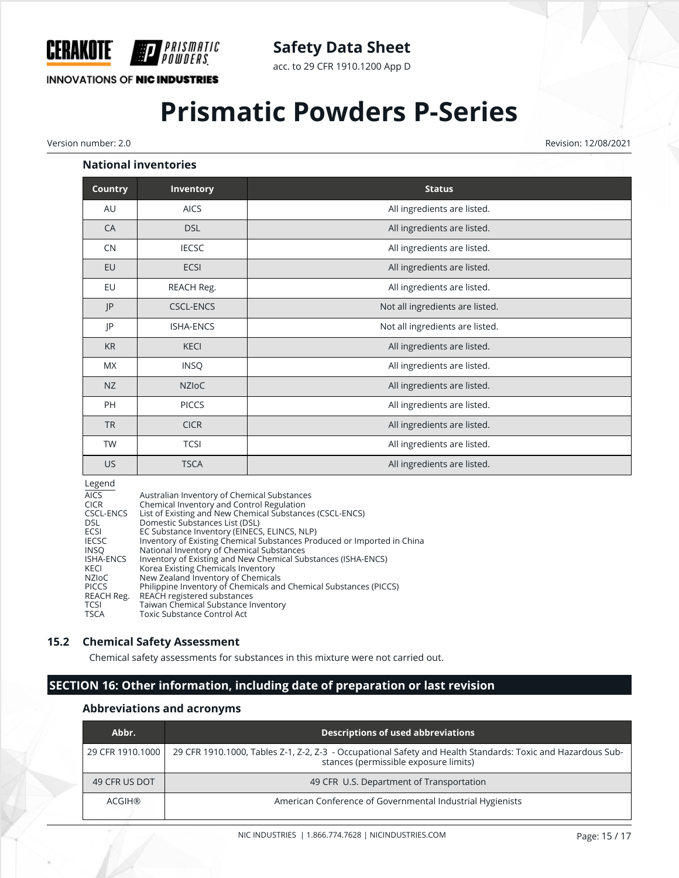

acc. to 29 CFR 1910.1200 App D

**INNOVATIONS OF NIC INDUSTRIES** 

PRISMATIC

# **Prismatic Powders P-Series**

Version number: 2.0 Revision: 12/08/2021

#### **National inventories**

| <b>Country</b> | Inventory        | <b>Status</b>                   |
|----------------|------------------|---------------------------------|
| AU             | <b>AICS</b>      | All ingredients are listed.     |
| CA             | <b>DSL</b>       | All ingredients are listed.     |
| <b>CN</b>      | <b>IECSC</b>     | All ingredients are listed.     |
| EU             | <b>ECSI</b>      | All ingredients are listed.     |
| EU             | REACH Reg.       | All ingredients are listed.     |
| P              | <b>CSCL-ENCS</b> | Not all ingredients are listed. |
| JP             | <b>ISHA-ENCS</b> | Not all ingredients are listed. |
| <b>KR</b>      | <b>KECI</b>      | All ingredients are listed.     |
| MX             | <b>INSQ</b>      | All ingredients are listed.     |
| NZ             | <b>NZIOC</b>     | All ingredients are listed.     |
| PH             | <b>PICCS</b>     | All ingredients are listed.     |
| <b>TR</b>      | <b>CICR</b>      | All ingredients are listed.     |
| <b>TW</b>      | <b>TCSI</b>      | All ingredients are listed.     |
| US             | <b>TSCA</b>      | All ingredients are listed.     |

#### Legend

| <b>AICS</b>      | Australian Inventory of Chemical Substances                             |
|------------------|-------------------------------------------------------------------------|
| <b>CICR</b>      | Chemical Inventory and Control Regulation                               |
| CSCL-ENCS        | List of Existing and New Chemical Substances (CSCL-ENCS)                |
| DSL.             | Domestic Substances List (DSL)                                          |
| ECSI             | EC Substance Inventory (EINECS, ELINCS, NLP)                            |
| <b>IECSC</b>     | Inventory of Existing Chemical Substances Produced or Imported in China |
| <b>INSO</b>      | National Inventory of Chemical Substances                               |
| <b>ISHA-ENCS</b> | Inventory of Existing and New Chemical Substances (ISHA-ENCS)           |
| KECI             | Korea Existing Chemicals Inventory                                      |
| NZIoC            | New Zealand Inventory of Chemicals                                      |
| <b>PICCS</b>     | Philippine Inventory of Chemicals and Chemical Substances (PICCS)       |
| REACH Reg.       | REACH registered substances                                             |
| <b>TCSI</b>      | Taiwan Chemical Substance Inventory                                     |
| <b>TSCA</b>      | Toxic Substance Control Act                                             |

#### **15.2 Chemical Safety Assessment**

Chemical safety assessments for substances in this mixture were not carried out.

## **SECTION 16: Other information, including date of preparation or last revision**

#### **Abbreviations and acronyms**

| Abbr.            | Descriptions of used abbreviations                                                                                                                   |
|------------------|------------------------------------------------------------------------------------------------------------------------------------------------------|
| 29 CFR 1910.1000 | 29 CFR 1910.1000, Tables Z-1, Z-2, Z-3 - Occupational Safety and Health Standards: Toxic and Hazardous Sub-<br>stances (permissible exposure limits) |
| 49 CFR US DOT    | 49 CFR U.S. Department of Transportation                                                                                                             |
| ACGIH®           | American Conference of Governmental Industrial Hygienists                                                                                            |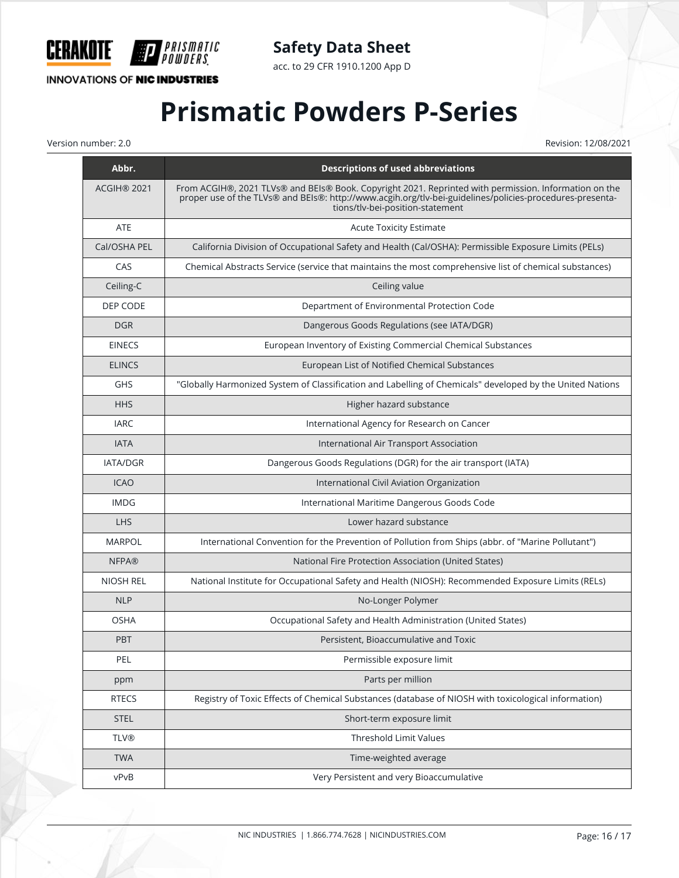

**INNOVATIONS OF NIC INDUSTRIES** 

H)

*PRISMATIC<br>Powders* 

acc. to 29 CFR 1910.1200 App D

# **Prismatic Powders P-Series**

Version number: 2.0 Revision: 12/08/2021

| Abbr.            | <b>Descriptions of used abbreviations</b>                                                                                                                                                                                                             |
|------------------|-------------------------------------------------------------------------------------------------------------------------------------------------------------------------------------------------------------------------------------------------------|
| ACGIH® 2021      | From ACGIH®, 2021 TLVs® and BEIs® Book. Copyright 2021. Reprinted with permission. Information on the<br>proper use of the TLVs® and BEIs®: http://www.acgih.org/tlv-bei-guidelines/policies-procedures-presenta-<br>tions/tlv-bei-position-statement |
| <b>ATE</b>       | <b>Acute Toxicity Estimate</b>                                                                                                                                                                                                                        |
| Cal/OSHA PEL     | California Division of Occupational Safety and Health (Cal/OSHA): Permissible Exposure Limits (PELs)                                                                                                                                                  |
| CAS              | Chemical Abstracts Service (service that maintains the most comprehensive list of chemical substances)                                                                                                                                                |
| Ceiling-C        | Ceiling value                                                                                                                                                                                                                                         |
| DEP CODE         | Department of Environmental Protection Code                                                                                                                                                                                                           |
| <b>DGR</b>       | Dangerous Goods Regulations (see IATA/DGR)                                                                                                                                                                                                            |
| <b>EINECS</b>    | European Inventory of Existing Commercial Chemical Substances                                                                                                                                                                                         |
| <b>ELINCS</b>    | European List of Notified Chemical Substances                                                                                                                                                                                                         |
| <b>GHS</b>       | "Globally Harmonized System of Classification and Labelling of Chemicals" developed by the United Nations                                                                                                                                             |
| <b>HHS</b>       | Higher hazard substance                                                                                                                                                                                                                               |
| <b>IARC</b>      | International Agency for Research on Cancer                                                                                                                                                                                                           |
| <b>IATA</b>      | International Air Transport Association                                                                                                                                                                                                               |
| <b>IATA/DGR</b>  | Dangerous Goods Regulations (DGR) for the air transport (IATA)                                                                                                                                                                                        |
| <b>ICAO</b>      | International Civil Aviation Organization                                                                                                                                                                                                             |
| <b>IMDG</b>      | International Maritime Dangerous Goods Code                                                                                                                                                                                                           |
| <b>LHS</b>       | Lower hazard substance                                                                                                                                                                                                                                |
| <b>MARPOL</b>    | International Convention for the Prevention of Pollution from Ships (abbr. of "Marine Pollutant")                                                                                                                                                     |
| <b>NFPA®</b>     | National Fire Protection Association (United States)                                                                                                                                                                                                  |
| <b>NIOSH REL</b> | National Institute for Occupational Safety and Health (NIOSH): Recommended Exposure Limits (RELs)                                                                                                                                                     |
| <b>NLP</b>       | No-Longer Polymer                                                                                                                                                                                                                                     |
| <b>OSHA</b>      | Occupational Safety and Health Administration (United States)                                                                                                                                                                                         |
| <b>PBT</b>       | Persistent, Bioaccumulative and Toxic                                                                                                                                                                                                                 |
| PEL              | Permissible exposure limit                                                                                                                                                                                                                            |
| ppm              | Parts per million                                                                                                                                                                                                                                     |
| <b>RTECS</b>     | Registry of Toxic Effects of Chemical Substances (database of NIOSH with toxicological information)                                                                                                                                                   |
| <b>STEL</b>      | Short-term exposure limit                                                                                                                                                                                                                             |
| <b>TLV®</b>      | <b>Threshold Limit Values</b>                                                                                                                                                                                                                         |
| <b>TWA</b>       | Time-weighted average                                                                                                                                                                                                                                 |
| vPvB             | Very Persistent and very Bioaccumulative                                                                                                                                                                                                              |